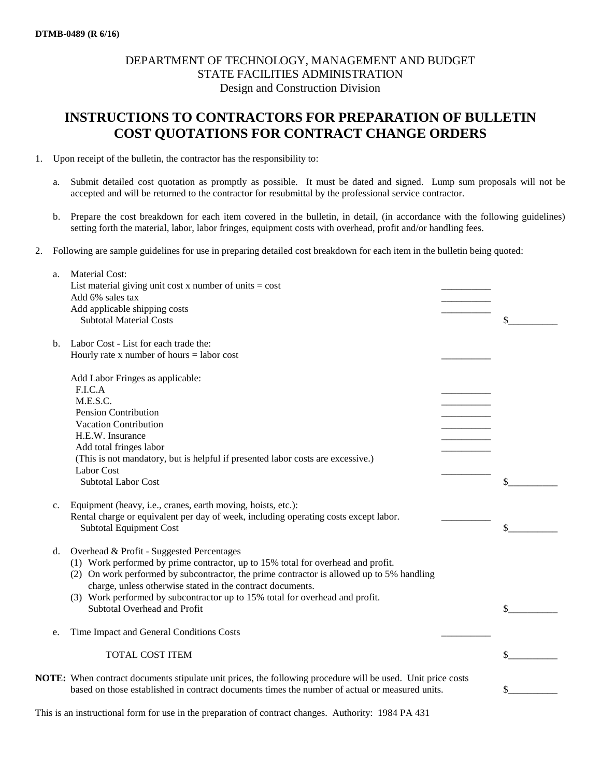## DEPARTMENT OF TECHNOLOGY, MANAGEMENT AND BUDGET STATE FACILITIES ADMINISTRATION Design and Construction Division

## **INSTRUCTIONS TO CONTRACTORS FOR PREPARATION OF BULLETIN COST QUOTATIONS FOR CONTRACT CHANGE ORDERS**

- 1. Upon receipt of the bulletin, the contractor has the responsibility to:
	- a. Submit detailed cost quotation as promptly as possible. It must be dated and signed. Lump sum proposals will not be accepted and will be returned to the contractor for resubmittal by the professional service contractor.
	- b. Prepare the cost breakdown for each item covered in the bulletin, in detail, (in accordance with the following guidelines) setting forth the material, labor, labor fringes, equipment costs with overhead, profit and/or handling fees.
- 2. Following are sample guidelines for use in preparing detailed cost breakdown for each item in the bulletin being quoted:

| a. | <b>Material Cost:</b>                                                                                                                                                                                                |    |
|----|----------------------------------------------------------------------------------------------------------------------------------------------------------------------------------------------------------------------|----|
|    | List material giving unit cost x number of units $=$ cost                                                                                                                                                            |    |
|    | Add 6% sales tax                                                                                                                                                                                                     |    |
|    | Add applicable shipping costs                                                                                                                                                                                        |    |
|    | <b>Subtotal Material Costs</b>                                                                                                                                                                                       | \$ |
| b. | Labor Cost - List for each trade the:                                                                                                                                                                                |    |
|    | Hourly rate $x$ number of hours = labor cost                                                                                                                                                                         |    |
|    | Add Labor Fringes as applicable:                                                                                                                                                                                     |    |
|    | F.I.C.A                                                                                                                                                                                                              |    |
|    | M.E.S.C.                                                                                                                                                                                                             |    |
|    | <b>Pension Contribution</b>                                                                                                                                                                                          |    |
|    | Vacation Contribution                                                                                                                                                                                                |    |
|    | H.E.W. Insurance                                                                                                                                                                                                     |    |
|    | Add total fringes labor                                                                                                                                                                                              |    |
|    | (This is not mandatory, but is helpful if presented labor costs are excessive.)                                                                                                                                      |    |
|    | Labor Cost                                                                                                                                                                                                           |    |
|    | <b>Subtotal Labor Cost</b>                                                                                                                                                                                           |    |
| c. | Equipment (heavy, i.e., cranes, earth moving, hoists, etc.):                                                                                                                                                         |    |
|    | Rental charge or equivalent per day of week, including operating costs except labor.                                                                                                                                 |    |
|    | <b>Subtotal Equipment Cost</b>                                                                                                                                                                                       | \$ |
| d. | Overhead & Profit - Suggested Percentages                                                                                                                                                                            |    |
|    | (1) Work performed by prime contractor, up to 15% total for overhead and profit.                                                                                                                                     |    |
|    | (2) On work performed by subcontractor, the prime contractor is allowed up to 5% handling                                                                                                                            |    |
|    | charge, unless otherwise stated in the contract documents.                                                                                                                                                           |    |
|    | (3) Work performed by subcontractor up to 15% total for overhead and profit.                                                                                                                                         |    |
|    | Subtotal Overhead and Profit                                                                                                                                                                                         |    |
|    |                                                                                                                                                                                                                      |    |
| e. | Time Impact and General Conditions Costs                                                                                                                                                                             |    |
|    | <b>TOTAL COST ITEM</b>                                                                                                                                                                                               |    |
|    |                                                                                                                                                                                                                      |    |
|    | <b>NOTE:</b> When contract documents stipulate unit prices, the following procedure will be used. Unit price costs<br>based on those established in contract documents times the number of actual or measured units. |    |
|    |                                                                                                                                                                                                                      |    |

This is an instructional form for use in the preparation of contract changes. Authority: 1984 PA 431